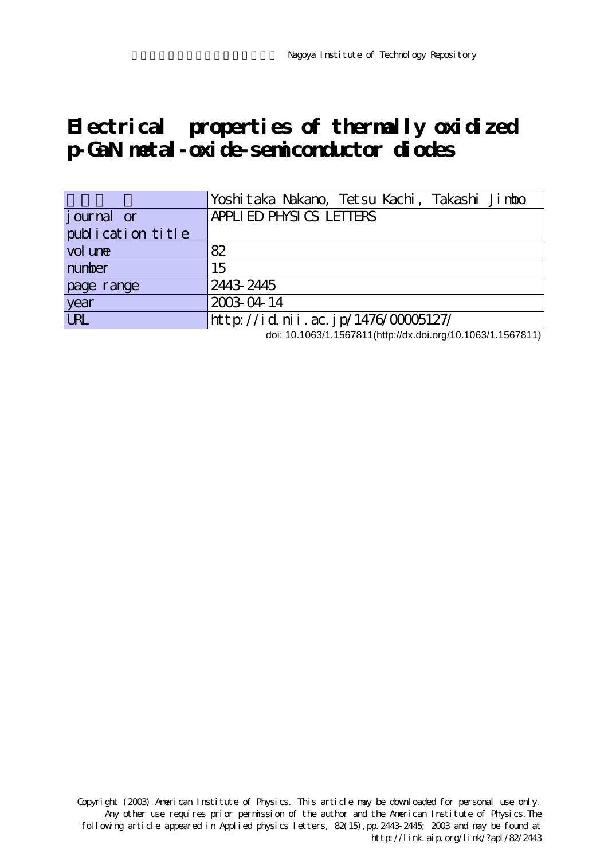## **Electrical properties of thermally oxidized p-GaN metal-oxide-semiconductor diodes**

|                    | Yoshitaka Nakano, Tetsu Kachi, Takashi Jimbo |
|--------------------|----------------------------------------------|
| <i>j</i> ournal or | APPLIED PHYSICS LETTERS                      |
| publication title  |                                              |
| vol une            | 82                                           |
| number             | 15                                           |
| page range         | 2443 2445                                    |
| year               | 2003-04-14                                   |
| URL                | http://id.nii.ac.jp/1476/00005127/           |

doi: 10.1063/1.1567811(http://dx.doi.org/10.1063/1.1567811)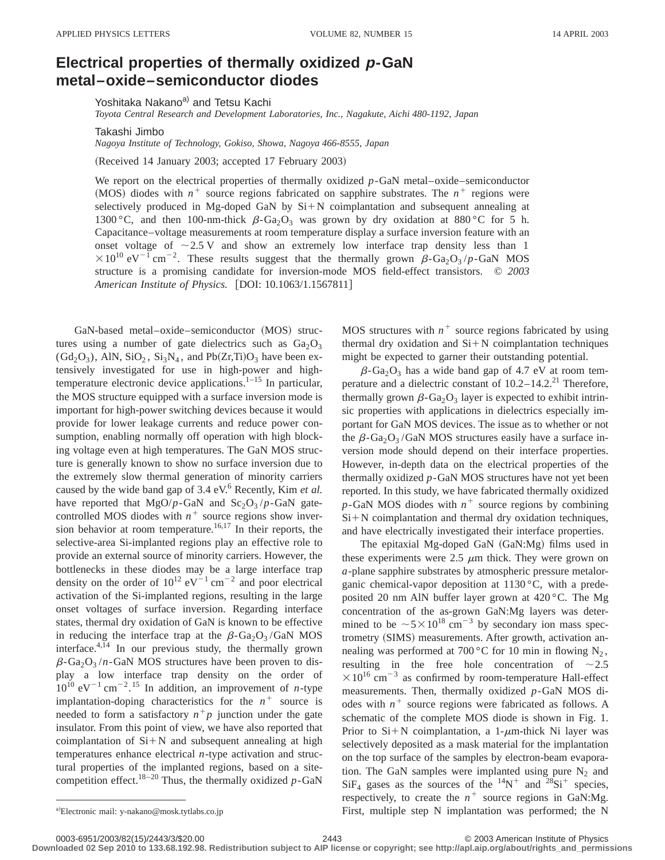## **Electrical properties of thermally oxidized p-GaN metal–oxide–semiconductor diodes**

Yoshitaka Nakano<sup>a)</sup> and Tetsu Kachi

*Toyota Central Research and Development Laboratories, Inc., Nagakute, Aichi 480-1192, Japan*

Takashi Jimbo

*Nagoya Institute of Technology, Gokiso, Showa, Nagoya 466-8555, Japan*

(Received 14 January 2003; accepted 17 February 2003)

We report on the electrical properties of thermally oxidized  $p$ -GaN metal–oxide–semiconductor (MOS) diodes with  $n^+$  source regions fabricated on sapphire substrates. The  $n^+$  regions were selectively produced in Mg-doped GaN by  $Si+N$  coimplantation and subsequent annealing at 1300 °C, and then 100-nm-thick  $\beta$ -Ga<sub>2</sub>O<sub>3</sub> was grown by dry oxidation at 880 °C for 5 h. Capacitance–voltage measurements at room temperature display a surface inversion feature with an onset voltage of  $\sim$  2.5 V and show an extremely low interface trap density less than 1  $\times 10^{10}$  eV<sup>-1</sup> cm<sup>-2</sup>. These results suggest that the thermally grown  $\beta$ -Ga<sub>2</sub>O<sub>3</sub>/p-GaN MOS structure is a promising candidate for inversion-mode MOS field-effect transistors. © *2003 American Institute of Physics.* [DOI: 10.1063/1.1567811]

GaN-based metal-oxide–semiconductor (MOS) structures using a number of gate dielectrics such as  $Ga<sub>2</sub>O<sub>3</sub>$  $(\text{Gd}_2\text{O}_3)$ , AlN, SiO<sub>2</sub>, Si<sub>3</sub>N<sub>4</sub>, and Pb(Zr,Ti)O<sub>3</sub> have been extensively investigated for use in high-power and hightemperature electronic device applications.<sup>1-15</sup> In particular, the MOS structure equipped with a surface inversion mode is important for high-power switching devices because it would provide for lower leakage currents and reduce power consumption, enabling normally off operation with high blocking voltage even at high temperatures. The GaN MOS structure is generally known to show no surface inversion due to the extremely slow thermal generation of minority carriers caused by the wide band gap of 3.4 eV.<sup>6</sup> Recently, Kim *et al.* have reported that  $MgO/p-GaN$  and  $Sc_2O_3/p-GaN$  gatecontrolled MOS diodes with  $n^+$  source regions show inversion behavior at room temperature.<sup>16,17</sup> In their reports, the selective-area Si-implanted regions play an effective role to provide an external source of minority carriers. However, the bottlenecks in these diodes may be a large interface trap density on the order of  $10^{12}$  eV<sup>-1</sup> cm<sup>-2</sup> and poor electrical activation of the Si-implanted regions, resulting in the large onset voltages of surface inversion. Regarding interface states, thermal dry oxidation of GaN is known to be effective in reducing the interface trap at the  $\beta$ -Ga<sub>2</sub>O<sub>3</sub>/GaN MOS interface.4,14 In our previous study, the thermally grown  $\beta$ -Ga<sub>2</sub>O<sub>3</sub> /*n*-GaN MOS structures have been proven to display a low interface trap density on the order of  $10^{10}$  eV<sup>-1</sup> cm<sup>-2</sup>.<sup>15</sup> In addition, an improvement of *n*-type implantation-doping characteristics for the  $n^+$  source is needed to form a satisfactory  $n^+p$  junction under the gate insulator. From this point of view, we have also reported that coimplantation of  $Si+N$  and subsequent annealing at high temperatures enhance electrical *n*-type activation and structural properties of the implanted regions, based on a sitecompetition effect.<sup>18–20</sup> Thus, the thermally oxidized  $p$ -GaN

MOS structures with  $n^+$  source regions fabricated by using thermal dry oxidation and  $Si+N$  coimplantation techniques might be expected to garner their outstanding potential.

 $\beta$ -Ga<sub>2</sub>O<sub>3</sub> has a wide band gap of 4.7 eV at room temperature and a dielectric constant of  $10.2-14.2$ <sup>21</sup> Therefore, thermally grown  $\beta$ -Ga<sub>2</sub>O<sub>3</sub> layer is expected to exhibit intrinsic properties with applications in dielectrics especially important for GaN MOS devices. The issue as to whether or not the  $\beta$ -Ga<sub>2</sub>O<sub>3</sub>/GaN MOS structures easily have a surface inversion mode should depend on their interface properties. However, in-depth data on the electrical properties of the thermally oxidized *p*-GaN MOS structures have not yet been reported. In this study, we have fabricated thermally oxidized  $p$ -GaN MOS diodes with  $n^+$  source regions by combining  $Si+N$  coimplantation and thermal dry oxidation techniques, and have electrically investigated their interface properties.

The epitaxial Mg-doped GaN  $(GaN:Mg)$  films used in these experiments were  $2.5 \mu m$  thick. They were grown on *a*-plane sapphire substrates by atmospheric pressure metalorganic chemical-vapor deposition at 1130 °C, with a predeposited 20 nm AlN buffer layer grown at 420 °C. The Mg concentration of the as-grown GaN:Mg layers was determined to be  $\sim 5 \times 10^{18}$  cm<sup>-3</sup> by secondary ion mass spectrometry (SIMS) measurements. After growth, activation annealing was performed at 700 °C for 10 min in flowing  $N_2$ , resulting in the free hole concentration of  $\sim 2.5$  $\times 10^{16}$  cm<sup>-3</sup> as confirmed by room-temperature Hall-effect measurements. Then, thermally oxidized *p*-GaN MOS diodes with  $n^+$  source regions were fabricated as follows. A schematic of the complete MOS diode is shown in Fig. 1. Prior to  $Si+N$  coimplantation, a 1- $\mu$ m-thick Ni layer was selectively deposited as a mask material for the implantation on the top surface of the samples by electron-beam evaporation. The GaN samples were implanted using pure  $N_2$  and  $SiF_4$  gases as the sources of the  $^{14}N^+$  and  $^{28}Si^+$  species, respectively, to create the  $n^+$  source regions in GaN:Mg. First, multiple step N implantation was performed; the N

**Downloaded 02 Sep 2010 to 133.68.192.98. Redistribution subject to AIP license or copyright; see http://apl.aip.org/about/rights\_and\_permissions**

a)Electronic mail: y-nakano@mosk.tytlabs.co.jp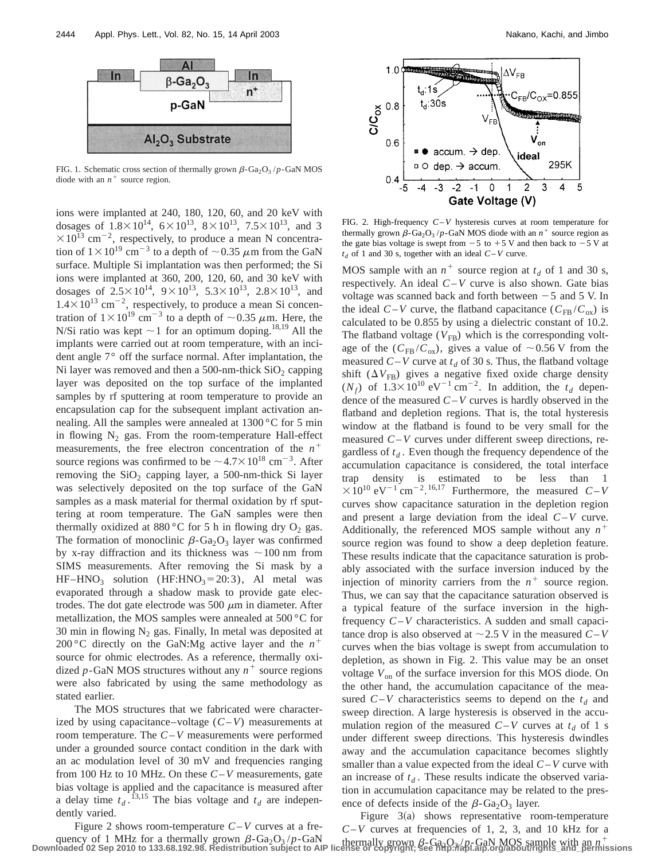

FIG. 1. Schematic cross section of thermally grown  $\beta$ -Ga<sub>2</sub>O<sub>3</sub> /*p*-GaN MOS diode with an  $n^+$  source region.

ions were implanted at 240, 180, 120, 60, and 20 keV with dosages of  $1.8 \times 10^{14}$ ,  $6 \times 10^{13}$ ,  $8 \times 10^{13}$ ,  $7.5 \times 10^{13}$ , and 3  $\times 10^{13}$  cm<sup>-2</sup>, respectively, to produce a mean N concentration of  $1\times10^{19}$  cm<sup>-3</sup> to a depth of  $\sim$  0.35  $\mu$ m from the GaN surface. Multiple Si implantation was then performed; the Si ions were implanted at 360, 200, 120, 60, and 30 keV with dosages of  $2.5 \times 10^{14}$ ,  $9 \times 10^{13}$ ,  $5.3 \times 10^{13}$ ,  $2.8 \times 10^{13}$ , and  $1.4 \times 10^{13}$  cm<sup>-2</sup>, respectively, to produce a mean Si concentration of  $1\times10^{19}$  cm<sup>-3</sup> to a depth of  $\sim$ 0.35  $\mu$ m. Here, the N/Si ratio was kept  $\sim$  1 for an optimum doping.<sup>18,19</sup> All the implants were carried out at room temperature, with an incident angle 7° off the surface normal. After implantation, the Ni layer was removed and then a 500-nm-thick  $SiO<sub>2</sub>$  capping layer was deposited on the top surface of the implanted samples by rf sputtering at room temperature to provide an encapsulation cap for the subsequent implant activation annealing. All the samples were annealed at 1300 °C for 5 min in flowing  $N_2$  gas. From the room-temperature Hall-effect measurements, the free electron concentration of the  $n^+$ source regions was confirmed to be  $\sim 4.7 \times 10^{18}$  cm<sup>-3</sup>. After removing the  $SiO<sub>2</sub>$  capping layer, a 500-nm-thick Si layer was selectively deposited on the top surface of the GaN samples as a mask material for thermal oxidation by rf sputtering at room temperature. The GaN samples were then thermally oxidized at 880 °C for 5 h in flowing dry  $O_2$  gas. The formation of monoclinic  $\beta$ -Ga<sub>2</sub>O<sub>3</sub> layer was confirmed by x-ray diffraction and its thickness was  $\sim$ 100 nm from SIMS measurements. After removing the Si mask by a HF–HNO<sub>3</sub> solution (HF:HNO<sub>3</sub>=20:3), Al metal was evaporated through a shadow mask to provide gate electrodes. The dot gate electrode was 500  $\mu$ m in diameter. After metallization, the MOS samples were annealed at 500 °C for 30 min in flowing  $N_2$  gas. Finally, In metal was deposited at 200 °C directly on the GaN:Mg active layer and the  $n^+$ source for ohmic electrodes. As a reference, thermally oxidized *p*-GaN MOS structures without any  $n^+$  source regions were also fabricated by using the same methodology as stated earlier.

The MOS structures that we fabricated were characterized by using capacitance–voltage  $(C-V)$  measurements at room temperature. The *C*–*V* measurements were performed under a grounded source contact condition in the dark with an ac modulation level of 30 mV and frequencies ranging from 100 Hz to 10 MHz. On these *C*–*V* measurements, gate bias voltage is applied and the capacitance is measured after a delay time  $t_d$ .<sup>13,15</sup> The bias voltage and  $t_d$  are independently varied.



FIG. 2. High-frequency *C*–*V* hysteresis curves at room temperature for thermally grown  $\beta$ -Ga<sub>2</sub>O<sub>3</sub> /*p*-GaN MOS diode with an  $n^+$  source region as the gate bias voltage is swept from  $-5$  to  $+5$  V and then back to  $-5$  V at  $t_d$  of 1 and 30 s, together with an ideal  $C-V$  curve.

MOS sample with an  $n^+$  source region at  $t_d$  of 1 and 30 s, respectively. An ideal *C*–*V* curve is also shown. Gate bias voltage was scanned back and forth between  $-5$  and 5 V. In the ideal  $C-V$  curve, the flatband capacitance  $(C_{FB}/C_{ox})$  is calculated to be 0.855 by using a dielectric constant of 10.2. The flatband voltage  $(V_{FB})$  which is the corresponding voltage of the  $(C_{FB}/C_{ox})$ , gives a value of ~0.56 V from the measured  $C-V$  curve at  $t_d$  of 30 s. Thus, the flatband voltage shift  $(\Delta V_{FB})$  gives a negative fixed oxide charge density  $(N_f)$  of  $1.3 \times 10^{10}$  eV<sup>-1</sup> cm<sup>-2</sup>. In addition, the  $t_d$  dependence of the measured *C*–*V* curves is hardly observed in the flatband and depletion regions. That is, the total hysteresis window at the flatband is found to be very small for the measured *C*–*V* curves under different sweep directions, regardless of  $t_d$ . Even though the frequency dependence of the accumulation capacitance is considered, the total interface trap density is estimated to be less than 1  $\times 10^{10}$  eV<sup>-1</sup> cm<sup>-2</sup>.<sup>16,17</sup> Furthermore, the measured *C*-*V* curves show capacitance saturation in the depletion region and present a large deviation from the ideal *C*–*V* curve. Additionally, the referenced MOS sample without any  $n^+$ source region was found to show a deep depletion feature. These results indicate that the capacitance saturation is probably associated with the surface inversion induced by the injection of minority carriers from the  $n^+$  source region. Thus, we can say that the capacitance saturation observed is a typical feature of the surface inversion in the highfrequency *C*–*V* characteristics. A sudden and small capacitance drop is also observed at  $\sim$  2.5 V in the measured *C*–*V* curves when the bias voltage is swept from accumulation to depletion, as shown in Fig. 2. This value may be an onset voltage  $V_{\text{on}}$  of the surface inversion for this MOS diode. On the other hand, the accumulation capacitance of the measured  $C-V$  characteristics seems to depend on the  $t_d$  and sweep direction. A large hysteresis is observed in the accumulation region of the measured  $C-V$  curves at  $t_d$  of 1 s under different sweep directions. This hysteresis dwindles away and the accumulation capacitance becomes slightly smaller than a value expected from the ideal *C*–*V* curve with an increase of  $t_d$ . These results indicate the observed variation in accumulation capacitance may be related to the presence of defects inside of the  $\beta$ -Ga<sub>2</sub>O<sub>3</sub> layer.

Figure 2 shows room-temperature *C*–*V* curves at a frequency of 1 MHz for a thermally grown  $\beta$ -Ga<sub>2</sub>O<sub>3</sub>/p-GaN thermally grown  $\beta$ -Ga<sub>2</sub>O<sub>3</sub>/p-GaN MOS sample with an  $n^+$ <br>Downloaded 02 Sep 2010 to 133.68.192.98. Redistribution subject to AIP license or copyright; see htt Figure  $3(a)$  shows representative room-temperature *C*–*V* curves at frequencies of 1, 2, 3, and 10 kHz for a